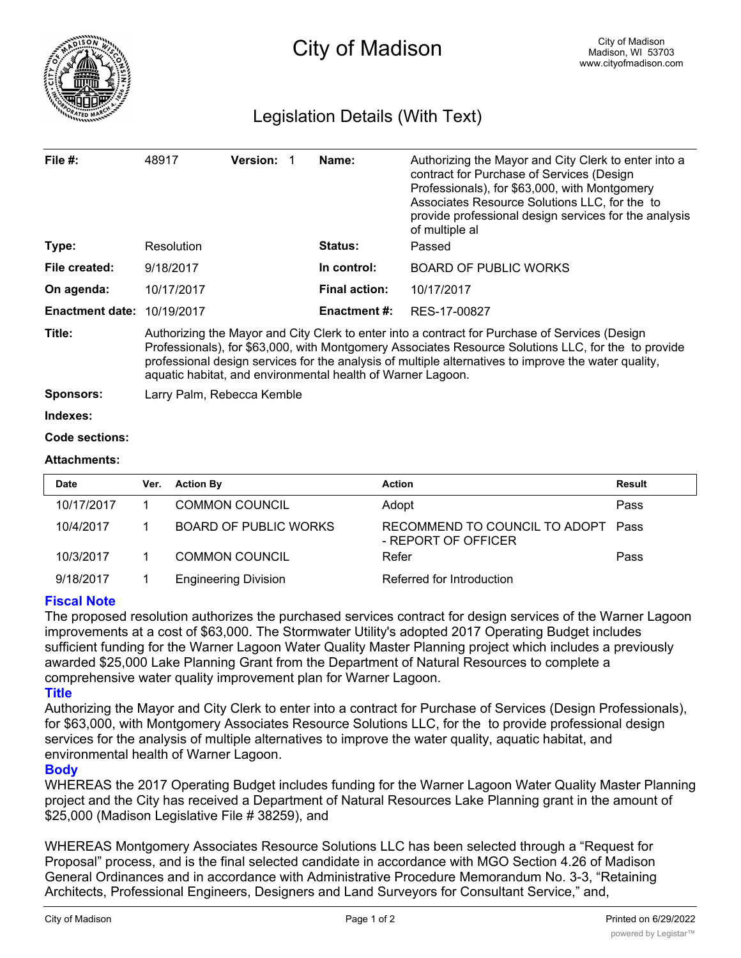

# Legislation Details (With Text)

| File $#$ :                        | 48917                                                                                                                                                                                                                                                                                                                                                                        | <b>Version:</b> |  | Name:                | Authorizing the Mayor and City Clerk to enter into a<br>contract for Purchase of Services (Design<br>Professionals), for \$63,000, with Montgomery<br>Associates Resource Solutions LLC, for the to<br>provide professional design services for the analysis<br>of multiple al |  |
|-----------------------------------|------------------------------------------------------------------------------------------------------------------------------------------------------------------------------------------------------------------------------------------------------------------------------------------------------------------------------------------------------------------------------|-----------------|--|----------------------|--------------------------------------------------------------------------------------------------------------------------------------------------------------------------------------------------------------------------------------------------------------------------------|--|
| Type:                             | Resolution                                                                                                                                                                                                                                                                                                                                                                   |                 |  | <b>Status:</b>       | Passed                                                                                                                                                                                                                                                                         |  |
| File created:                     | 9/18/2017                                                                                                                                                                                                                                                                                                                                                                    |                 |  | In control:          | <b>BOARD OF PUBLIC WORKS</b>                                                                                                                                                                                                                                                   |  |
| On agenda:                        | 10/17/2017                                                                                                                                                                                                                                                                                                                                                                   |                 |  | <b>Final action:</b> | 10/17/2017                                                                                                                                                                                                                                                                     |  |
| <b>Enactment date: 10/19/2017</b> |                                                                                                                                                                                                                                                                                                                                                                              |                 |  | <b>Enactment #:</b>  | RES-17-00827                                                                                                                                                                                                                                                                   |  |
| Title:                            | Authorizing the Mayor and City Clerk to enter into a contract for Purchase of Services (Design<br>Professionals), for \$63,000, with Montgomery Associates Resource Solutions LLC, for the to provide<br>professional design services for the analysis of multiple alternatives to improve the water quality,<br>aquatic habitat, and environmental health of Warner Lagoon. |                 |  |                      |                                                                                                                                                                                                                                                                                |  |
| <b>Sponsors:</b>                  | Larry Palm, Rebecca Kemble                                                                                                                                                                                                                                                                                                                                                   |                 |  |                      |                                                                                                                                                                                                                                                                                |  |
| Indexes:                          |                                                                                                                                                                                                                                                                                                                                                                              |                 |  |                      |                                                                                                                                                                                                                                                                                |  |
| Code sections:                    |                                                                                                                                                                                                                                                                                                                                                                              |                 |  |                      |                                                                                                                                                                                                                                                                                |  |

#### **Attachments:**

| Date       | Ver. | <b>Action By</b>            | <b>Action</b>                                             | Result |
|------------|------|-----------------------------|-----------------------------------------------------------|--------|
| 10/17/2017 |      | <b>COMMON COUNCIL</b>       | Adopt                                                     | Pass   |
| 10/4/2017  |      | BOARD OF PUBLIC WORKS       | RECOMMEND TO COUNCIL TO ADOPT Pass<br>- REPORT OF OFFICER |        |
| 10/3/2017  |      | <b>COMMON COUNCIL</b>       | Refer                                                     | Pass   |
| 9/18/2017  |      | <b>Engineering Division</b> | Referred for Introduction                                 |        |

## **Fiscal Note**

The proposed resolution authorizes the purchased services contract for design services of the Warner Lagoon improvements at a cost of \$63,000. The Stormwater Utility's adopted 2017 Operating Budget includes sufficient funding for the Warner Lagoon Water Quality Master Planning project which includes a previously awarded \$25,000 Lake Planning Grant from the Department of Natural Resources to complete a comprehensive water quality improvement plan for Warner Lagoon.

## **Title**

Authorizing the Mayor and City Clerk to enter into a contract for Purchase of Services (Design Professionals), for \$63,000, with Montgomery Associates Resource Solutions LLC, for the to provide professional design services for the analysis of multiple alternatives to improve the water quality, aquatic habitat, and environmental health of Warner Lagoon.

## **Body**

WHEREAS the 2017 Operating Budget includes funding for the Warner Lagoon Water Quality Master Planning project and the City has received a Department of Natural Resources Lake Planning grant in the amount of \$25,000 (Madison Legislative File # 38259), and

WHEREAS Montgomery Associates Resource Solutions LLC has been selected through a "Request for Proposal" process, and is the final selected candidate in accordance with MGO Section 4.26 of Madison General Ordinances and in accordance with Administrative Procedure Memorandum No. 3-3, "Retaining Architects, Professional Engineers, Designers and Land Surveyors for Consultant Service," and,